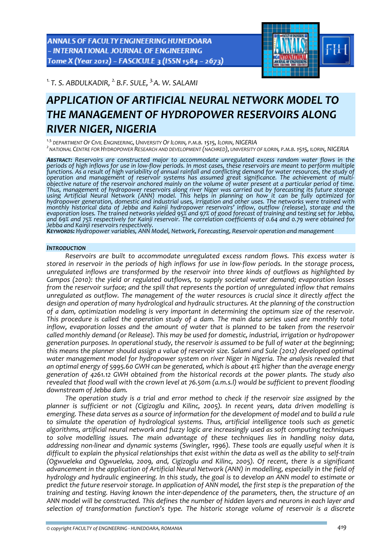ANNALS OF FACULTY ENGINEERING HUNEDOARA - INTERNATIONAL JOURNAL OF ENGINEERING Tome X (Year 2012) - FASCICULE 3 (ISSN 1584 - 2673)



*1. T. S. ABDULKADIR, 2. B.F. SULE, 3.A. W. SALAMI* 

# *APPLICATION OF ARTIFICIAL NEURAL NETWORK MODEL TO THE MANAGEMENT OF HYDROPOWER RESERVOIRS ALONG RIVER NIGER, NIGERIA*

*1.3.DEPARTMENT OF CIVIL ENGINEERING, UNIVERSITY OF ILORIN, P.M.B. 1515, ILORIN, NIGERIA <sup>2</sup> NATIONAL CENTRE FOR HYDROPOWER RESEARCH AND DEVELOPMENT (NACHRED), UNIVERSITY OF ILORIN, P.M.B.1515, ILORIN, NIGERIA*

*ABSTRACT: Reservoirs are constructed major to accommodate unregulated excess random water flows in the* periods of high inflows for use in low-flow periods. In most cases, these reservoirs are meant to perform multiple<br>functions. As a result of high variability of annual rainfall and conflicting demand for water resources, t objective nature of the reservoir anchored mainly on the volume of water present at a particular period of time.<br>Thus, management of hydropower reservoirs along river Niger was carried out by forecasting its future storage Thus, management of hydropower reservoirs along river Niger was carried out by forecasting its future storage<br>using Artificial Neural Network (ANN) model. This helps in planning on how it can be fully optimized for<br>hydropo *monthly historical data of Jebba and Kainji hydropower reservoirs' inflow, outflow (release), storage and the* evaporation loses. The trained networks yielded 95% and 97% of good forecast of training and testing set for Jebba, and 69% and 75% respectively for Kainji reservoir. The correlation coefficients of 0.64 and 0.79 were obtained for<br>Jebba and Kainji reservoirs respectively.<br>**K**ey**wor.o**s: Hydropower variables, ANN Model, Network, Forecast

# *INTRODUCTION*

*Reservoirs are built to accommodate unregulated excess random flows. This excess water is* stored in reservoir in the periods of high inflows for use in low-flow periods. In the storage process, *unregulated inflows are transformed by the reservoir into three kinds of outflows as highlighted by Campos (2010): the yield or regulated outflows, to supply societal water demand; evaporation losses from the reservoir surface; and the spill that represents the portion of unregulated inflow that remains unregulated as outflow. The management of the water resources is crucial since it directly affect the design and operation of many hydrological and hydraulic structures. At the planning of the construction of a dam, optimization modeling is very important in determining the optimum size of the reservoir. This procedure is called the operation study of a dam. The main data series used are monthly total inflow, evaporation losses and the amount of water that is planned to be taken from the reservoir called monthly demand (or Release). This may be used for domestic, industrial, irrigation or hydropower generation purposes. In operational study, the reservoir is assumed to be full of water at the beginning; this means the planner should assign a value of reservoir size. Salami and Sule (2012) developed optimal water management model for hydropower system on river Niger in Nigeria. The analysis revealed that* an optimal energy of 5995.60 GWH can be generated, which is about 41% higher than the average energy *generation of 4261.12 GWH obtained from the historical records at the power plants. The study also revealed that flood wall with the crown level at 76.50m (a.m.s.l) would be sufficient to prevent flooding downstream of Jebba dam.* 

*The operation study is a trial and error method to check if the reservoir size assigned by the planner is sufficient or not (Cigizoglu and Kilinc, 2005). In recent years, data driven modelling is* emerging. These data serves as a source of information for the development of model and to build a rule *to simulate the operation of hydrological systems. Thus, artificial intelligence tools such as genetic algorithms, artificial neural network and fuzzy logic are increasingly used as soft computing techniques to solve modelling issues. The main advantage of these techniques lies in handling noisy data, addressing non‐linear and dynamic systems (Swingler, 1996). These tools are equally useful when it is* difficult to explain the physical relationships that exist within the data as well as the ability to self-train *(Ogwueleka and Ogwueleka, 2009, and, Cigizoglu and Kilinc, 2005). Of recent, there is a significant advancement in the application of Artificial Neural Network (ANN) in modelling, especially in the field of* hydrology and hydraulic engineering. In this study, the goal is to develop an ANN model to estimate or predict the future reservoir storage. In application of ANN model, the first step is the preparation of the *training and testing. Having known the inter‐dependence of the parameters, then, the structure of an* ANN model will be constructed. This defines the number of hidden layers and neurons in each layer and *selection of transformation function's type. The historic storage volume of reservoir is a discrete*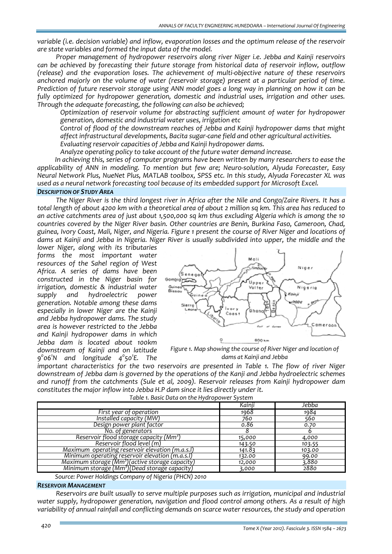*variable (i.e. decision variable) and inflow, evaporation losses and the optimum release of the reservoir are state variables and formed the input data of the model.*

*Proper management of hydropower reservoirs along river Niger i.e. Jebba and Kainji reservoirs can be achieved by forecasting their future storage from historical data of reservoir inflow, outflow (release) and the evaporation loses. The achievement of multi‐objective nature of these reservoirs anchored majorly on the volume of water (reservoir storage) present at a particular period of time.* Prediction of future reservoir storage using ANN model goes a long way in planning on how it can be *fully optimized for hydropower generation, domestic and industrial uses, irrigation and other uses. Through the adequate forecasting, the following can also be achieved;*

 *Optimization of reservoir volume for abstracting sufficient amount of water for hydropower generation, domestic and industrial water uses, irrigation etc*

 *Control of flood of the downstream reaches of Jebba and Kainji hydropower dams that might affect infrastructural developments, Bacita sugar‐cane field and other agricultural activities.*

*Evaluating reservoir capacities of Jebba and Kainji hydropower dams.*

*Analyze operating policy to take account of the future water demand increase.*

*In achieving this, series of computer programs have been written by many researchers to ease the applicability of ANN in modeling. To mention but few are; Neuro‐solution, Alyuda Forecaster, Easy Neural Network Plus, NueNet Plus, MATLAB toolbox, SPSS etc. In this study, Alyuda Forecaster XL was used as a neural network forecasting tool because of its embedded support for Microsoft Excel.*

# *DESCRIPTION OF STUDY AREA*

The Niger River is the third longest river in Africa after the Nile and Congo/Zaire Rivers. It has a total length of about 4200 km with a theoretical area of about 2 million sq km. This area has reduced to an active catchments area of just about 1,500,000 sq km thus excluding Algeria which is among the 10 *countries covered by the Niger River basin. Other countries are Benin, Burkina Faso, Cameroon, Chad,* guinea, Ivory Coast, Mali, Niger, and Nigeria. Figure 1 present the course of River Niger and locations of dams at Kainji and Jebba in Nigeria. Niger River is usually subdivided into upper, the middle and the

*lower Niger, along with its tributaries forms the most important water resources of the Sahel region of West Africa. A series of dams have been constructed in the Niger basin for irrigation, domestic & industrial water supply and hydroelectric power generation. Notable among these dams especially in lower Niger are the Kainji and Jebba hydropower dams. The study area is however restricted to the Jebba and Kainji hydropower dams in which Jebba dam is located about 100km downstream of Kainji and on latitude 90 061 N and longitude 40 50<sup>1</sup> E. The*



*Figure 1. Map showing the course of River Niger and location of dams at Kainji and Jebba*

*important characteristics for the two reservoirs are presented in Table 1. The flow of river Niger downstream of Jebba dam is governed by the operations of the Kanji and Jebba hydroelectric schemes and runoff from the catchments (Sule et al, 2009). Reservoir releases from Kainji hydropower dam constitutes the major inflow into Jebba H.P dam since it lies directly under it.*

*Table 1. Basic Data on the Hydropower System*

|                                                              | Kainji | Jebba  |
|--------------------------------------------------------------|--------|--------|
| First year of operation                                      | 1968   | 1984   |
| Installed capacity (MW)                                      | 760    | 560    |
| Design power plant factor                                    | 0.86   | 0.70   |
| No. of generators                                            |        | ь      |
| Reservoir flood storage capacity (Mm <sup>3</sup> )          | 15,000 | 4,000  |
| Reservoir flood level (m)                                    | 143.50 | 103.55 |
| Maximum operating reservoir elevation (m.a.s.l)              | 141.83 | 103.00 |
| Minimum operating reservoir elevation (m.a.s.l)              | 132.00 | 99.00  |
| Maximum storage (Mm <sup>3</sup> ) (active storage capacity) | 12,000 | 3.880  |
| Minimum storage (Mm <sup>3</sup> )(Dead storage capacity)    | 3,000  | 2880   |

*Source: Power Holdings Company of Nigeria (PHCN) 2010*

## *RESERVOIR MANAGEMENT*

*Reservoirs are built usually to serve multiple purposes such as irrigation, municipal and industrial water supply, hydropower generation, navigation and flood control among others. As a result of high variability of annual rainfall and conflicting demands on scarce water resources, the study and operation*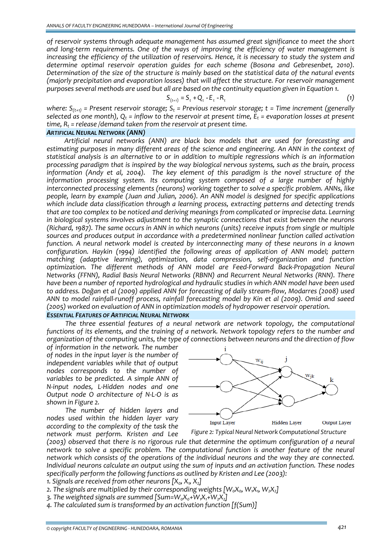*of reservoir systems through adequate management has assumed great significance to meet the short and long‐term requirements. One of the ways of improving the efficiency of water management is* increasing the efficiency of the utilization of reservoirs. Hence, it is necessary to study the system and *determine optimal reservoir operation guides for each scheme (Bosona and Gebresenbet, 2010).* Determination of the size of the structure is mainly based on the statistical data of the natural events *(majorly precipitation and evaporation losses) that will affect the structure. For reservoir management purposes several methods are used but all are based on the continuity equation given in Equation 1.*

$$
S_{(t+1)} = S_t + Q_t - E_t - R_t \tag{1}
$$

*where: S(t+1) = Present reservoir storage; St = Previous reservoir storage; t = Time increment (generally* selected as one month),  $Q_t = inflow$  to the reservoir at present time,  $E_t = evaporation$  losses at present *time, Rt = release /demand taken from the reservoir at present time.*

# *ARTIFICIAL NEURAL NETWORK (ANN)*

*Artificial neural networks (ANN) are black box models that are used for forecasting and estimating purposes in many different areas of the science and engineering. An ANN in the context of statistical analysis is an alternative to or in addition to multiple regressions which is an information processing paradigm that is inspired by the way biological nervous systems, such as the brain, process information (Andy et al, 2004). The key element of this paradigm is the novel structure of the information processing system. Its computing system composed of a large number of highly interconnected processing elements (neurons) working together to solve a specific problem. ANNs, like people, learn by example (Juan and Julian, 2006). An ANN model is designed for specific applications which include data classification through a learning process, extracting patterns and detecting trends that are too complex to be noticed and deriving meanings from complicated or imprecise data. Learning in biological systems involves adjustment to the synaptic connections that exist between the neurons (Richard, 1987). The same occurs in ANN in which neurons (units) receive inputs from single or multiple sources and produces output in accordance with a predetermined nonlinear function called activation function. A neural network model is created by interconnecting many of these neurons in a known configuration. Haykin (1994) identified the following areas of application of ANN model; pattern matching (adaptive learning), optimization, data compression, self‐organization and function optimization. The different methods of ANN model are Feed‐Forward Back‐Propagation Neural Networks (FFNN), Radial Basis Neural Networks (RBNN) and Recurrent Neural Networks (RNN). There have been a number of reported hydrological and hydraulic studies in which ANN model have been used* to address. Doğan et al (2009) applied ANN for forecasting of daily stream-flow, Modarres (2008) used ANN to model rainfall-runoff process, rainfall forecasting model by Kin et al (2009). Omid and saeed *(2005) worked on evaluation of ANN in optimization models of hydropower reservoir operation.*

# *ESSENTIAL FEATURES OF ARTIFICIAL NEURAL NETWORK*

*The three essential features of a neural network are network topology, the computational functions of its elements, and the training of a network. Network topology refers to the number and organization of the computing units, the type of connections between neurons and the direction of flow*

*of information in the network. The number of nodes in the input layer is the number of independent variables while that of output nodes corresponds to the number of variables to be predicted. A simple ANN of N‐input nodes, L‐Hidden nodes and one Output node O architecture of N‐L‐O is as shown in Figure 2.*

*The number of hidden layers and nodes used within the hidden layer vary according to the complexity of the task the network must perform. Kristen and Lee*



*Figure 2: Typical Neural Network Computational Structure*

*(2003) observed that there is no rigorous rule that determine the optimum configuration of a neural network to solve a specific problem. The computational function is another feature of the neural network which consists of the operations of the individual neurons and the way they are connected. Individual neurons calculate an output using the sum of inputs and an activation function. These nodes specifically perform the following functions as outlined by Kristen and Lee (2003):*

*1.* Signals are received from other neurons  $[X_0, X_1, X_2]$ 

*2. The signals are multiplied by their corresponding weights [W0X0, W1X1, W2X2]*

*3. The weighted signals are summed [Sum=W0X0+W1X1+W2X2]*

*4. The calculated sum is transformed by an activation function [f(Sum)]*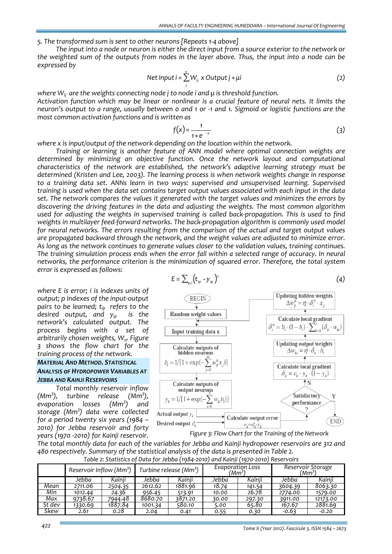#### *5. The transformed sum is sent to other neurons [Repeats 1‐4 above]*

The input into a node or neuron is either the direct input from a source exterior to the network or the weighted sum of the outputs from nodes in the laver above. Thus, the input into a node can be *expressed by* 

Net input 
$$
i = \sum_{j}^{n} W_{ij} \times Output \, j + \mu i
$$
 (2)

*where Wij are the weights connecting node j to node i and µ is threshold function.* Activation function which may be linear or nonlinear is a crucial feature of neural nets. It limits the neuron's output to a range, usually between o and 1 or -1 and 1. Sigmoid or logistic functions are the *most common activation functions and is written as*

$$
f(x) = \frac{1}{1+e^{-x}}
$$
 (3)

*where x is input/output of the network depending on the location within the network.* 

*Training or learning is another feature of ANN model where optimal connection weights are determined by minimizing an objective function. Once the network layout and computational characteristics of the network are established, the network's adaptive learning strategy must be determined (Kristen and Lee, 2003). The learning process is when network weights change in response to a training data set. ANNs learn in two ways: supervised and unsupervised learning. Supervised* training is used when the data set contains target output values associated with each input in the data *set. The network compares the values it generated with the target values and minimizes the errors by discovering the driving features in the data and adjusting the weights. The most common algorithm* used for adjusting the weights in supervised training is called back-propagation. This is used to find *weights in multilayer feed‐forward networks. The back‐propagation algorithm is commonly used model for neural networks. The errors resulting from the comparison of the actual and target output values are propagated backward through the network, and the weight values are adjusted to minimize error. As long as the network continues to generate values closer to the validation values, training continues. The training simulation process ends when the error fall within a selected range of accuracy. In neural networks, the performance criterion is the minimization of squared error. Therefore, the total system error is expressed as follows:*

*where E is error; i is indexes units of output; p indexes of the input‐output pairs to be learned; tip refers to the desired output, and yip is the network's calculated output. The process begins with a set of arbitrarily chosen weights*,  $W_o$ *. Figure 3 shows the flow chart for the training process of the network.*

# *MATERIAL AND METHOD. STATISTICAL ANALYSIS oF HYDROPOWER VARIABLES AT JEBBA AND KAINJI RESERVOIRS*

*Total monthly reservoir inflow (Mm3 ), turbine release (Mm3 ),*  $evaporation$  *losses ) and storage (Mm3 ) data were collected for a period twenty six years (1984 – 2010) for Jebba reservoir and forty years (1970 ‐2010) for Kainji reservoir.*

$$
E = \sum_{p,i} \left( t_{ip} - y_{ip} \right)^2 \tag{4}
$$





The total monthly data for each of the variables for Jebba and Kainji hydropower reservoirs are 312 and *480 respectively. Summary of the statistical analysis of the data is presented in Table 2. Table 2: Statistics of Data for Jebba (1984‐2010) and Kainji (1970‐2010) Reservoirs*

|        |                                     |         |         | $1.7 - 1 - 1.7$                    |                                      |        |         |                                         |
|--------|-------------------------------------|---------|---------|------------------------------------|--------------------------------------|--------|---------|-----------------------------------------|
|        | Reservoir Inflow (Mm <sup>3</sup> ) |         |         | Turbine release (Mm <sup>3</sup> ) | Evaporation Loss<br>′Mm <sup>3</sup> |        |         | Reservoir Storage<br>(Mm <sup>3</sup> ) |
|        | Jebba                               | Kainii  | Jebba   | Kainii                             | Jebba                                | Kainii | Jebba   | Kainii                                  |
| Mean   | 2711.06                             | 2504.35 | 2612.62 | 1881.96                            | 18.74                                | 141.54 | 3604.39 | 8063.30                                 |
| Min    | 1012.44                             | 24.36   | 956.45  | 513.91                             | 10.00                                | 26.78  | 2774.00 | 1579.00                                 |
| Max    | 9738.67                             | 7944.48 | 8680.70 | 3871.20                            | 30.00                                | 297.30 | 3911.00 | 12173.00                                |
| St dev | 1330.69                             | 1887.84 | 1001.34 | 580.10                             | 5.00                                 | 65.80  | 167.67  | 2881.69                                 |
| Skew   | 2.61                                | 0.28    | 2.04    | 0.41                               | 0.55                                 | 0.30   | $-0.63$ | $-0.20$                                 |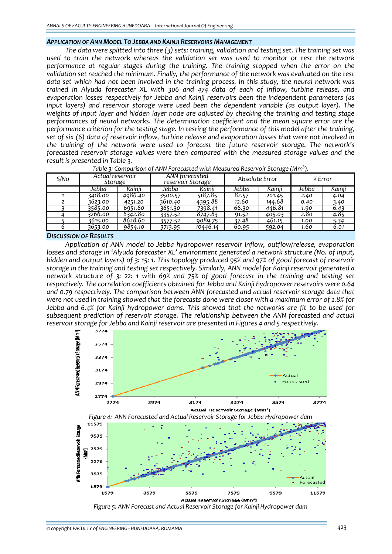# *APPLICATION OF ANN MODEL TO JEBBA AND KAINJI RESERVOIRS MANAGEMENT*

*The data were splitted into three (3) sets: training, validation and testing set. The training set was used to train the network whereas the validation set was used to monitor or test the network performance at regular stages during the training. The training stopped when the error on the validation set reached the minimum. Finally, the performance of the network was evaluated on the test* data set which had not been involved in the training process. In this study, the neural network was *trained in Alyuda forecaster XL with 306 and 474 data of each of inflow, turbine release, and evaporation losses respectively for Jebba and Kainji reservoirs been the independent parameters (as input layers) and reservoir storage were used been the dependent variable (as output layer). The weights of input layer and hidden layer node are adjusted by checking the training and testing stage performances of neural networks. The determination coefficient and the mean square error are the performance criterion for the testing stage. In testing the performance of this model after the training,* set of six (6) data of reservoir inflow, turbine release and evaporation losses that were not involved in *the training of the network were used to forecast the future reservoir storage. The network's forecasted reservoir storage values were then compared with the measured storage values and the result is presented in Table 3.*

| S/No | Actual reservoir<br>Storage |         | ANN forecasted<br>reservoir Storage |          |       | Absolute Error | $%$ Error |        |
|------|-----------------------------|---------|-------------------------------------|----------|-------|----------------|-----------|--------|
|      | Jebba                       | Kainii  | Jebba                               | Kainji   | Jebba | Kainii         | Jebba     | Kainji |
|      | 3418.00                     | 4986.40 | 3500.57                             | 5187.85  | 82.57 | 201.45         | 2.40      | 4.04   |
|      | 3623.00                     | 4251.20 | 3610.40                             | 4395.88  | 12.60 | 144.68         | 0.40      | 3.40   |
|      | 3585.00                     | 6951.60 | 3651.30                             | 7398.41  | 66.30 | 446.81         | 1.90      | 6.43   |
|      | 3266.00                     | 8342.80 | 3357.52                             | 8747.83  | 91.52 | 405.03         | 2.80      | 4.85   |
|      | 3615.00                     | 8628.60 | 3577.52                             | 9089.75  | 37.48 | 461.15         | 1.00      | 5.34   |
|      | 3653.00                     | 9854.10 | 3713.95                             | 10446.14 | 60.95 | 592.04         | 1.60      | 6.01   |

| Table 3: Comparison of ANN Forecasted with Measured Reservoir Storage (Mm <sup>3</sup> ). |
|-------------------------------------------------------------------------------------------|
|-------------------------------------------------------------------------------------------|

#### *DISCUSSION OF RESULTS*

*Application of ANN model to Jebba hydropower reservoir inflow, outflow/release, evaporation losses and storage in 'Alyuda forecaster XL' environment generated a network structure (No. of input,* hidden and output layers) of 3: 15: 1. This topology produced 95% and 97% of good forecast of reservoir *storage in the training and testing set respectively. Similarly, ANN model for Kainji reservoir generated a* network structure of 3: 22: 1 with 69% and 75% of good forecast in the training and testing set *respectively. The correlation coefficients obtained for Jebba and Kainji hydropower reservoirs were 0.64 and 0.79 respectively. The comparison between ANN forecasted and actual reservoir storage data that* were not used in training showed that the forecasts done were closer with a maximum error of 2.8% for *Jebba and 6.4% for Kainji hydropower dams. This showed that the networks are fit to be used for subsequent prediction of reservoir storage. The relationship between the ANN forecasted and actual reservoir storage for Jebba and Kainji reservoir are presented in Figures 4 and 5 respectively.*